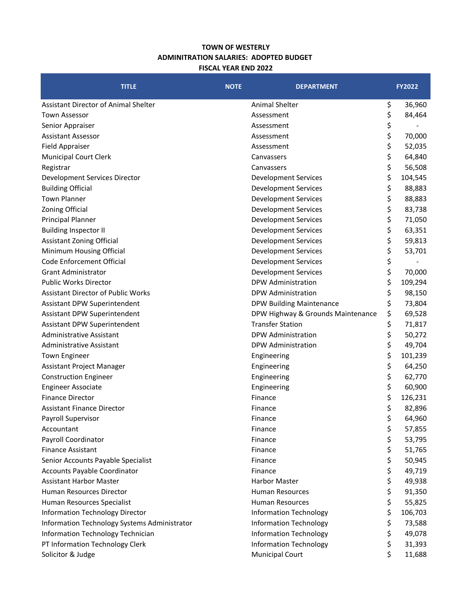## **TOWN OF WESTERLY ADMINITRATION SALARIES: ADOPTED BUDGET FISCAL YEAR END 2022**

| <b>TITLE</b>                                 | <b>NOTE</b> | <b>DEPARTMENT</b>                 | <b>FY2022</b> |
|----------------------------------------------|-------------|-----------------------------------|---------------|
| Assistant Director of Animal Shelter         |             | Animal Shelter                    | \$<br>36,960  |
| <b>Town Assessor</b>                         |             | Assessment                        | \$<br>84,464  |
| Senior Appraiser                             |             | Assessment                        | \$            |
| <b>Assistant Assessor</b>                    |             | Assessment                        | \$<br>70,000  |
| <b>Field Appraiser</b>                       |             | Assessment                        | \$<br>52,035  |
| <b>Municipal Court Clerk</b>                 |             | Canvassers                        | \$<br>64,840  |
| Registrar                                    |             | Canvassers                        | \$<br>56,508  |
| Development Services Director                |             | <b>Development Services</b>       | \$<br>104,545 |
| <b>Building Official</b>                     |             | <b>Development Services</b>       | \$<br>88,883  |
| <b>Town Planner</b>                          |             | <b>Development Services</b>       | \$<br>88,883  |
| <b>Zoning Official</b>                       |             | <b>Development Services</b>       | \$<br>83,738  |
| <b>Principal Planner</b>                     |             | <b>Development Services</b>       | \$<br>71,050  |
| <b>Building Inspector II</b>                 |             | <b>Development Services</b>       | \$<br>63,351  |
| <b>Assistant Zoning Official</b>             |             | <b>Development Services</b>       | \$<br>59,813  |
| Minimum Housing Official                     |             | <b>Development Services</b>       | \$<br>53,701  |
| Code Enforcement Official                    |             | <b>Development Services</b>       | \$            |
| <b>Grant Administrator</b>                   |             | <b>Development Services</b>       | \$<br>70,000  |
| Public Works Director                        |             | <b>DPW Administration</b>         | \$<br>109,294 |
| <b>Assistant Director of Public Works</b>    |             | DPW Administration                | \$<br>98,150  |
| Assistant DPW Superintendent                 |             | <b>DPW Building Maintenance</b>   | \$<br>73,804  |
| Assistant DPW Superintendent                 |             | DPW Highway & Grounds Maintenance | \$<br>69,528  |
| Assistant DPW Superintendent                 |             | <b>Transfer Station</b>           | \$<br>71,817  |
| <b>Administrative Assistant</b>              |             | DPW Administration                | \$<br>50,272  |
| Administrative Assistant                     |             | DPW Administration                | \$<br>49,704  |
| Town Engineer                                |             | Engineering                       | \$<br>101,239 |
| Assistant Project Manager                    |             | Engineering                       | \$<br>64,250  |
| <b>Construction Engineer</b>                 |             | Engineering                       | \$<br>62,770  |
| <b>Engineer Associate</b>                    |             | Engineering                       | \$<br>60,900  |
| <b>Finance Director</b>                      |             | Finance                           | \$<br>126,231 |
| <b>Assistant Finance Director</b>            |             | Finance                           | \$<br>82,896  |
| Payroll Supervisor                           |             | Finance                           | \$<br>64,960  |
| Accountant                                   |             | Finance                           | \$<br>57,855  |
| Payroll Coordinator                          |             | Finance                           | \$<br>53,795  |
| <b>Finance Assistant</b>                     |             | Finance                           | \$<br>51,765  |
| Senior Accounts Payable Specialist           |             | Finance                           | \$<br>50,945  |
| <b>Accounts Payable Coordinator</b>          |             | Finance                           | \$<br>49,719  |
| <b>Assistant Harbor Master</b>               |             | Harbor Master                     | \$<br>49,938  |
| Human Resources Director                     |             | Human Resources                   | \$<br>91,350  |
| Human Resources Specialist                   |             | Human Resources                   | \$<br>55,825  |
| <b>Information Technology Director</b>       |             | <b>Information Technology</b>     | \$<br>106,703 |
| Information Technology Systems Administrator |             | <b>Information Technology</b>     | \$<br>73,588  |
| Information Technology Technician            |             | <b>Information Technology</b>     | \$<br>49,078  |
| PT Information Technology Clerk              |             | <b>Information Technology</b>     | \$<br>31,393  |
| Solicitor & Judge                            |             | <b>Municipal Court</b>            | \$<br>11,688  |